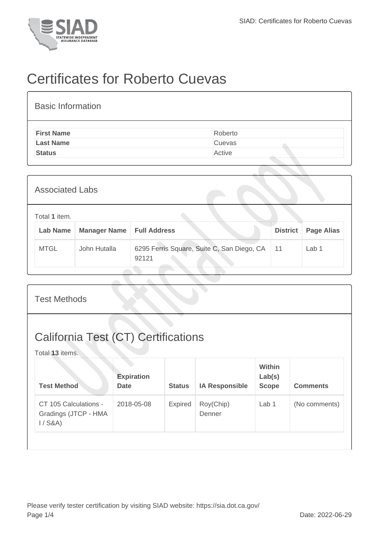

## Certificates for Roberto Cuevas

| <b>Basic Information</b> |         |
|--------------------------|---------|
| <b>First Name</b>        | Roberto |
| <b>Last Name</b>         | Cuevas  |
| <b>Status</b>            | Active  |
|                          |         |

| <b>Associated Labs</b>    |                     |                                                     |                 |                   |  |  |  |
|---------------------------|---------------------|-----------------------------------------------------|-----------------|-------------------|--|--|--|
| Total 1 item.<br>Lab Name | <b>Manager Name</b> | <b>Full Address</b>                                 | <b>District</b> | <b>Page Alias</b> |  |  |  |
| <b>MTGL</b>               | John Hutalla        | 6295 Ferris Square, Suite C, San Diego, CA<br>92121 | 11              | Lab 1             |  |  |  |

| <b>Test Methods</b>                                           |                                  |               |                       |                                         |                 |  |  |
|---------------------------------------------------------------|----------------------------------|---------------|-----------------------|-----------------------------------------|-----------------|--|--|
| <b>California Test (CT) Certifications</b><br>Total 13 items. |                                  |               |                       |                                         |                 |  |  |
| <b>Test Method</b>                                            | <b>Expiration</b><br><b>Date</b> | <b>Status</b> | <b>IA Responsible</b> | <b>Within</b><br>Lab(s)<br><b>Scope</b> | <b>Comments</b> |  |  |
| CT 105 Calculations -<br>Gradings (JTCP - HMA<br>$1/$ S&A)    | 2018-05-08                       | Expired       | Roy(Chip)<br>Denner   | Lab <sub>1</sub>                        | (No comments)   |  |  |
|                                                               |                                  |               |                       |                                         |                 |  |  |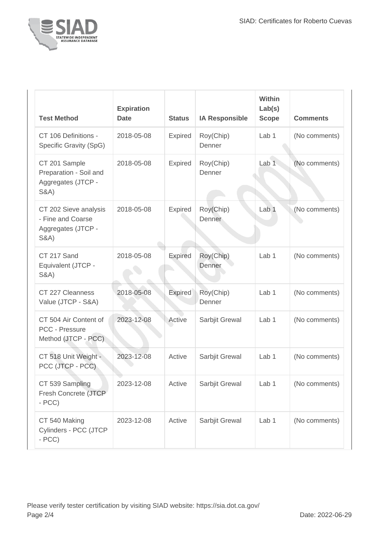

| <b>Test Method</b>                                                                  | <b>Expiration</b><br><b>Date</b> | <b>Status</b>  | <b>IA Responsible</b> | <b>Within</b><br>Lab(s)<br><b>Scope</b> | <b>Comments</b> |
|-------------------------------------------------------------------------------------|----------------------------------|----------------|-----------------------|-----------------------------------------|-----------------|
| CT 106 Definitions -<br>Specific Gravity (SpG)                                      | 2018-05-08                       | Expired        | Roy(Chip)<br>Denner   | Lab <sub>1</sub>                        | (No comments)   |
| CT 201 Sample<br>Preparation - Soil and<br>Aggregates (JTCP -<br><b>S&amp;A)</b>    | 2018-05-08                       | Expired        | Roy(Chip)<br>Denner   | Lab <sub>1</sub>                        | (No comments)   |
| CT 202 Sieve analysis<br>- Fine and Coarse<br>Aggregates (JTCP -<br><b>S&amp;A)</b> | 2018-05-08                       | Expired        | Roy(Chip)<br>Denner   | Lab <sub>1</sub>                        | (No comments)   |
| CT 217 Sand<br>Equivalent (JTCP -<br><b>S&amp;A)</b>                                | 2018-05-08                       | <b>Expired</b> | Roy(Chip)<br>Denner   | Lab <sub>1</sub>                        | (No comments)   |
| CT 227 Cleanness<br>Value (JTCP - S&A)                                              | 2018-05-08                       | <b>Expired</b> | Roy(Chip)<br>Denner   | Lab <sub>1</sub>                        | (No comments)   |
| CT 504 Air Content of<br>PCC - Pressure<br>Method (JTCP - PCC)                      | 2023-12-08                       | Active         | Sarbjit Grewal        | Lab <sub>1</sub>                        | (No comments)   |
| CT 518 Unit Weight -<br>PCC (JTCP - PCC)                                            | 2023-12-08                       | Active         | Sarbjit Grewal        | Lab <sub>1</sub>                        | (No comments)   |
| CT 539 Sampling<br>Fresh Concrete (JTCP<br>$- PCC$                                  | 2023-12-08                       | Active         | Sarbjit Grewal        | Lab <sub>1</sub>                        | (No comments)   |
| CT 540 Making<br>Cylinders - PCC (JTCP<br>$- PCC$                                   | 2023-12-08                       | Active         | Sarbjit Grewal        | Lab <sub>1</sub>                        | (No comments)   |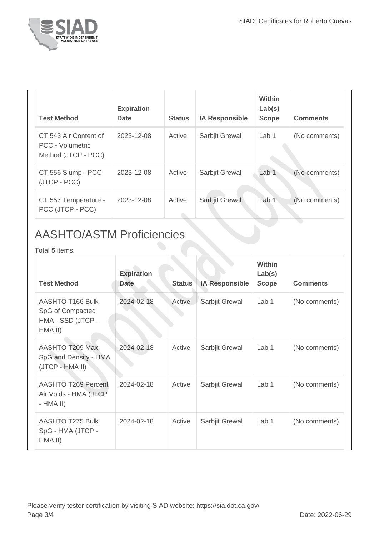

| <b>Test Method</b>                                                      | <b>Expiration</b><br><b>Date</b> | <b>Status</b> | <b>IA Responsible</b> | Within<br>Lab(s)<br><b>Scope</b> | <b>Comments</b> |
|-------------------------------------------------------------------------|----------------------------------|---------------|-----------------------|----------------------------------|-----------------|
| CT 543 Air Content of<br><b>PCC - Volumetric</b><br>Method (JTCP - PCC) | 2023-12-08                       | Active        | Sarbjit Grewal        | Lab 1                            | (No comments)   |
| CT 556 Slump - PCC<br>(JTCP - PCC)                                      | 2023-12-08                       | Active        | Sarbjit Grewal        | Lab 1                            | (No comments)   |
| CT 557 Temperature -<br>PCC (JTCP - PCC)                                | 2023-12-08                       | Active        | Sarbjit Grewal        | Lab 1                            | (No comments)   |

## AASHTO/ASTM Proficiencies

Total **5** items.

| <b>Test Method</b>                                                   | <b>Expiration</b><br><b>Date</b> | <b>Status</b> | <b>IA Responsible</b> | <b>Within</b><br>Lab(s)<br><b>Scope</b> | <b>Comments</b> |
|----------------------------------------------------------------------|----------------------------------|---------------|-----------------------|-----------------------------------------|-----------------|
| AASHTO T166 Bulk<br>SpG of Compacted<br>HMA - SSD (JTCP -<br>HMA II) | 2024-02-18                       | Active        | Sarbjit Grewal        | Lab 1                                   | (No comments)   |
| AASHTO T209 Max<br>SpG and Density - HMA<br>(JTCP - HMA II)          | 2024-02-18                       | Active        | Sarbjit Grewal        | Lab 1                                   | (No comments)   |
| AASHTO T269 Percent<br>Air Voids - HMA (JTCP<br>$-HMA II)$           | 2024-02-18                       | Active        | Sarbjit Grewal        | Lab 1                                   | (No comments)   |
| AASHTO T275 Bulk<br>SpG - HMA (JTCP -<br>HMA II)                     | 2024-02-18                       | Active        | Sarbjit Grewal        | Lab 1                                   | (No comments)   |